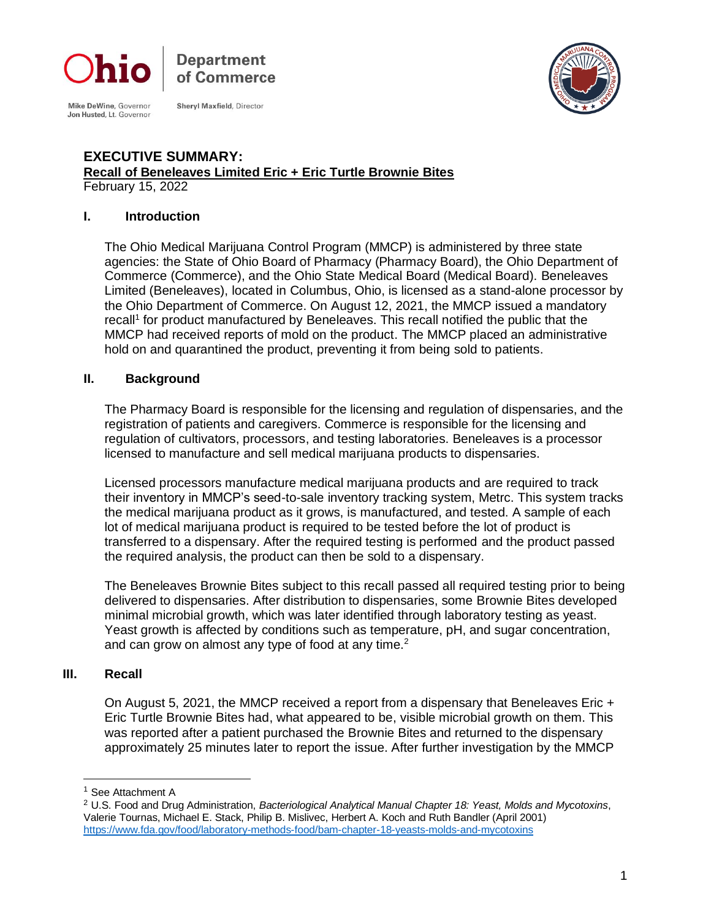

Department of Commerce

Mike DeWine, Governor<br>Jon Husted, Lt. Governor

**Shervl Maxfield, Director** 



#### **EXECUTIVE SUMMARY: Recall of Beneleaves Limited Eric + Eric Turtle Brownie Bites** February 15, 2022

#### **I. Introduction**

The Ohio Medical Marijuana Control Program (MMCP) is administered by three state agencies: the State of Ohio Board of Pharmacy (Pharmacy Board), the Ohio Department of Commerce (Commerce), and the Ohio State Medical Board (Medical Board). Beneleaves Limited (Beneleaves), located in Columbus, Ohio, is licensed as a stand-alone processor by the Ohio Department of Commerce. On August 12, 2021, the MMCP issued a mandatory recall<sup>1</sup> for product manufactured by Beneleaves. This recall notified the public that the MMCP had received reports of mold on the product. The MMCP placed an administrative hold on and quarantined the product, preventing it from being sold to patients.

## **II. Background**

The Pharmacy Board is responsible for the licensing and regulation of dispensaries, and the registration of patients and caregivers. Commerce is responsible for the licensing and regulation of cultivators, processors, and testing laboratories. Beneleaves is a processor licensed to manufacture and sell medical marijuana products to dispensaries.

Licensed processors manufacture medical marijuana products and are required to track their inventory in MMCP's seed-to-sale inventory tracking system, Metrc. This system tracks the medical marijuana product as it grows, is manufactured, and tested. A sample of each lot of medical marijuana product is required to be tested before the lot of product is transferred to a dispensary. After the required testing is performed and the product passed the required analysis, the product can then be sold to a dispensary.

The Beneleaves Brownie Bites subject to this recall passed all required testing prior to being delivered to dispensaries. After distribution to dispensaries, some Brownie Bites developed minimal microbial growth, which was later identified through laboratory testing as yeast. Yeast growth is affected by conditions such as temperature, pH, and sugar concentration, and can grow on almost any type of food at any time. $2$ 

#### **III. Recall**

On August 5, 2021, the MMCP received a report from a dispensary that Beneleaves Eric + Eric Turtle Brownie Bites had, what appeared to be, visible microbial growth on them. This was reported after a patient purchased the Brownie Bites and returned to the dispensary approximately 25 minutes later to report the issue. After further investigation by the MMCP

<sup>1</sup> See Attachment A

<sup>2</sup> U.S. Food and Drug Administration, *Bacteriological Analytical Manual Chapter 18: Yeast, Molds and Mycotoxins*, Valerie Tournas, Michael E. Stack, Philip B. Mislivec, Herbert A. Koch and Ruth Bandler (April 2001) <https://www.fda.gov/food/laboratory-methods-food/bam-chapter-18-yeasts-molds-and-mycotoxins>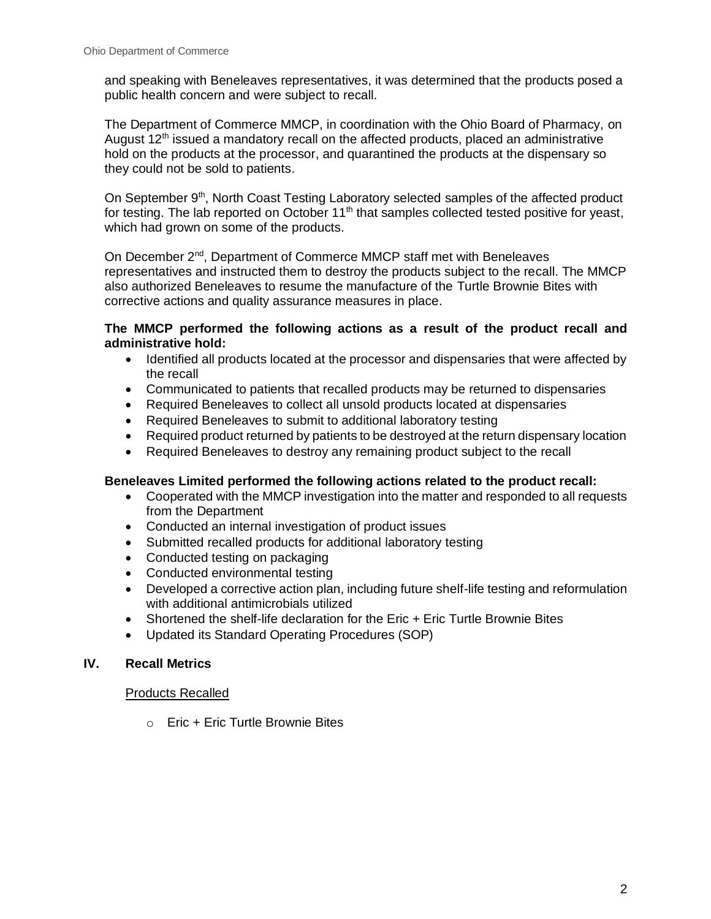and speaking with Beneleaves representatives, it was determined that the products posed a public health concern and were subject to recall.

The Department of Commerce MMCP, in coordination with the Ohio Board of Pharmacy, on August  $12<sup>th</sup>$  issued a mandatory recall on the affected products, placed an administrative hold on the products at the processor, and quarantined the products at the dispensary so they could not be sold to patients.

On September 9<sup>th</sup>, North Coast Testing Laboratory selected samples of the affected product for testing. The lab reported on October 11<sup>th</sup> that samples collected tested positive for yeast, which had grown on some of the products.

On December 2<sup>nd</sup>, Department of Commerce MMCP staff met with Beneleaves representatives and instructed them to destroy the products subject to the recall. The MMCP also authorized Beneleaves to resume the manufacture of the Turtle Brownie Bites with corrective actions and quality assurance measures in place.

## **The MMCP performed the following actions as a result of the product recall and administrative hold:**

- Identified all products located at the processor and dispensaries that were affected by the recall
- Communicated to patients that recalled products may be returned to dispensaries
- Required Beneleaves to collect all unsold products located at dispensaries
- Required Beneleaves to submit to additional laboratory testing
- Required product returned by patients to be destroyed at the return dispensary location
- Required Beneleaves to destroy any remaining product subject to the recall

## **Beneleaves Limited performed the following actions related to the product recall:**

- Cooperated with the MMCP investigation into the matter and responded to all requests from the Department
- Conducted an internal investigation of product issues
- Submitted recalled products for additional laboratory testing
- Conducted testing on packaging
- Conducted environmental testing
- Developed a corrective action plan, including future shelf-life testing and reformulation with additional antimicrobials utilized
- Shortened the shelf-life declaration for the Eric + Eric Turtle Brownie Bites
- Updated its Standard Operating Procedures (SOP)

# **IV. Recall Metrics**

#### Products Recalled

o Eric + Eric Turtle Brownie Bites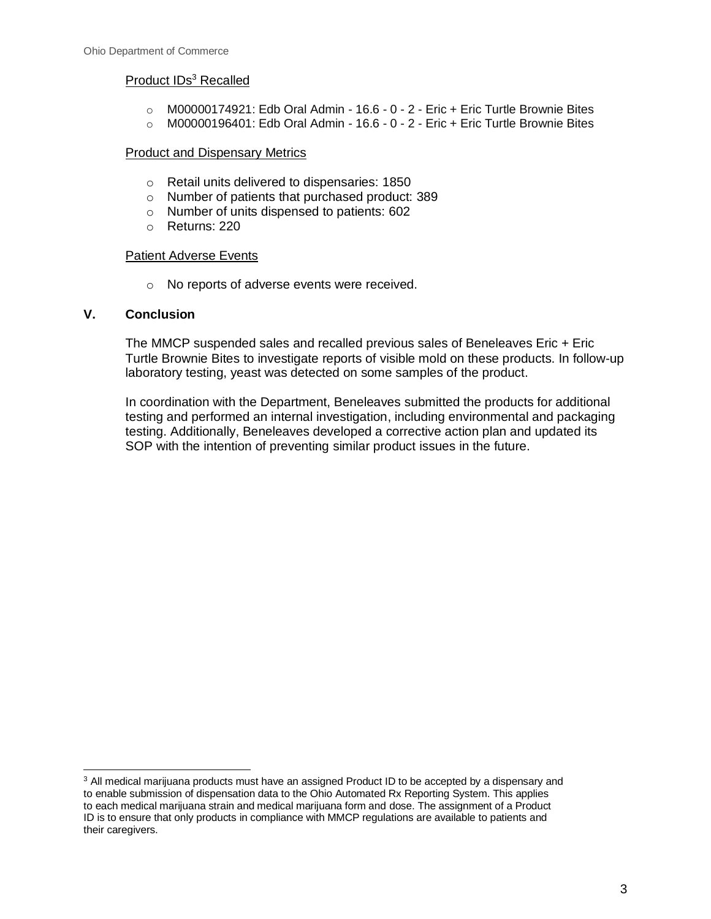## Product IDs<sup>3</sup> Recalled

- $\circ$  M00000174921: Edb Oral Admin 16.6 0 2 Eric + Eric Turtle Brownie Bites
- $\circ$  M00000196401: Edb Oral Admin 16.6 0 2 Eric + Eric Turtle Brownie Bites

#### **Product and Dispensary Metrics**

- o Retail units delivered to dispensaries: 1850
- o Number of patients that purchased product: 389
- o Number of units dispensed to patients: 602
- o Returns: 220

#### Patient Adverse Events

o No reports of adverse events were received.

#### **V. Conclusion**

The MMCP suspended sales and recalled previous sales of Beneleaves Eric + Eric Turtle Brownie Bites to investigate reports of visible mold on these products. In follow-up laboratory testing, yeast was detected on some samples of the product.

In coordination with the Department, Beneleaves submitted the products for additional testing and performed an internal investigation, including environmental and packaging testing. Additionally, Beneleaves developed a corrective action plan and updated its SOP with the intention of preventing similar product issues in the future.

<sup>&</sup>lt;sup>3</sup> All medical marijuana products must have an assigned Product ID to be accepted by a dispensary and to enable submission of dispensation data to the Ohio Automated Rx Reporting System. This applies to each medical marijuana strain and medical marijuana form and dose. The assignment of a Product ID is to ensure that only products in compliance with MMCP regulations are available to patients and their caregivers.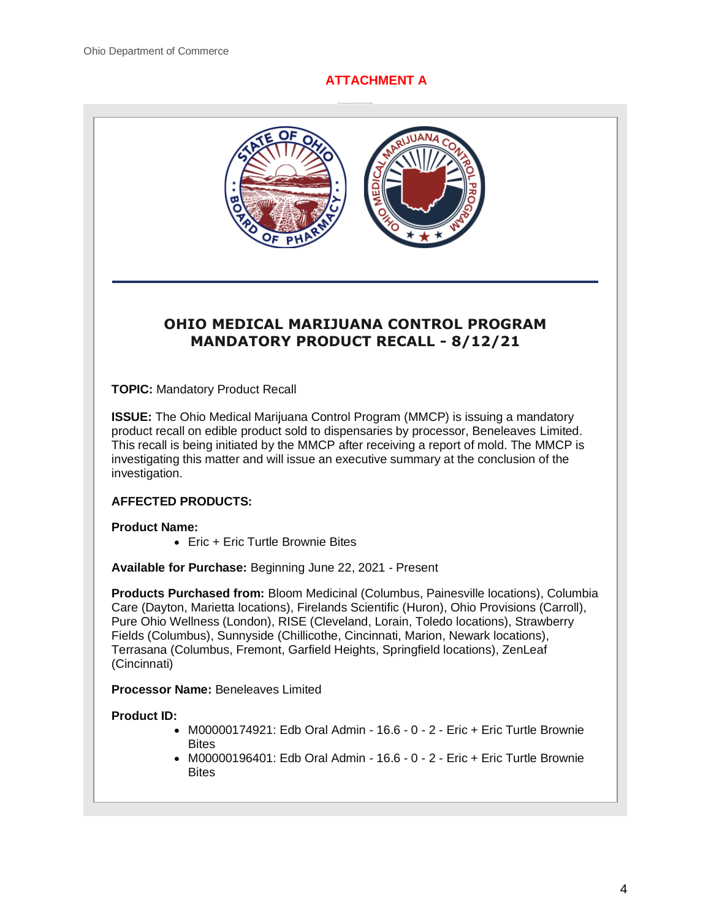# **ATTACHMENT A**